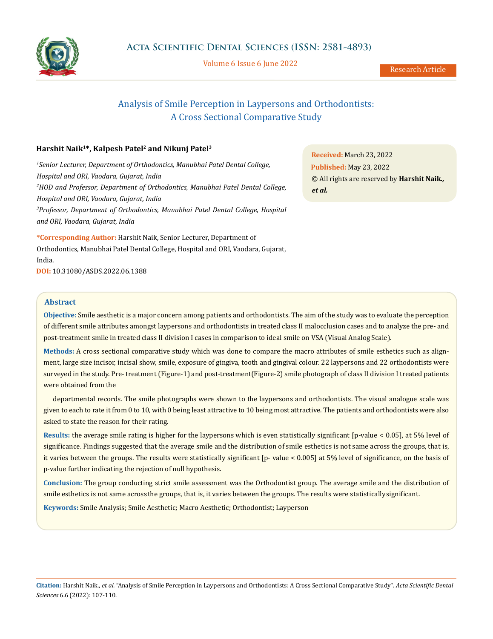

Volume 6 Issue 6 June 2022

Research Article

# Analysis of Smile Perception in Laypersons and Orthodontists: A Cross Sectional Comparative Study

# **Harshit Naik1\*, Kalpesh Patel2 and Nikunj Patel3**

<sup>1</sup> Senior Lecturer, Department of Orthodontics, Manubhai Patel Dental College, *Hospital and ORI, Vaodara, Gujarat, India 2 HOD and Professor, Department of Orthodontics, Manubhai Patel Dental College, Hospital and ORI, Vaodara, Gujarat, India 3 Professor, Department of Orthodontics, Manubhai Patel Dental College, Hospital and ORI, Vaodara, Gujarat, India*

**\*Corresponding Author:** Harshit Naik, Senior Lecturer, Department of Orthodontics, Manubhai Patel Dental College, Hospital and ORI, Vaodara, Gujarat, India.

**DOI:** [10.31080/ASDS.2022.06.1388](https://actascientific.com/ASDS/pdf/ASDS-06-1388.pdf)

# **Abstract**

**Objective:** Smile aesthetic is a major concern among patients and orthodontists. The aim of the study was to evaluate the perception of different smile attributes amongst laypersons and orthodontists in treated class II malocclusion cases and to analyze the pre- and post-treatment smile in treated class II division I cases in comparison to ideal smile on VSA (Visual Analog Scale).

**Methods:** A cross sectional comparative study which was done to compare the macro attributes of smile esthetics such as alignment, large size incisor, incisal show, smile, exposure of gingiva, tooth and gingival colour. 22 laypersons and 22 orthodontists were surveyed in the study. Pre- treatment (Figure-1) and post-treatment(Figure-2) smile photograph of class II division I treated patients were obtained from the

departmental records. The smile photographs were shown to the laypersons and orthodontists. The visual analogue scale was given to each to rate it from 0 to 10, with 0 being least attractive to 10 being most attractive. The patients and orthodontists were also asked to state the reason for their rating.

**Results:** the average smile rating is higher for the laypersons which is even statistically significant [p-value < 0.05], at 5% level of significance. Findings suggested that the average smile and the distribution of smile esthetics is not same across the groups, that is, it varies between the groups. The results were statistically significant [p- value < 0.005] at 5% level of significance, on the basis of p-value further indicating the rejection of null hypothesis.

**Conclusion:** The group conducting strict smile assessment was the Orthodontist group. The average smile and the distribution of smile esthetics is not same across the groups, that is, it varies between the groups. The results were statistically significant.

**Keywords:** Smile Analysis; Smile Aesthetic; Macro Aesthetic; Orthodontist; Layperson

**Received:** March 23, 2022 **Published:** May 23, 2022 © All rights are reserved by **Harshit Naik***., et al.*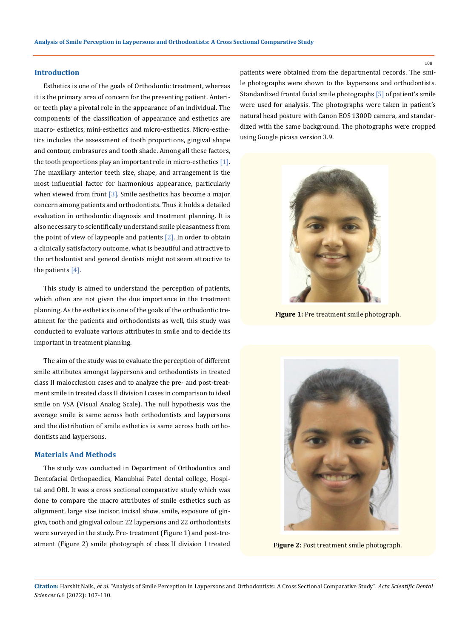# **Introduction**

Esthetics is one of the goals of Orthodontic treatment, whereas it is the primary area of concern for the presenting patient. Anterior teeth play a pivotal role in the appearance of an individual. The components of the classification of appearance and esthetics are macro- esthetics, mini-esthetics and micro-esthetics. Micro-esthetics includes the assessment of tooth proportions, gingival shape and contour, embrasures and tooth shade. Among all these factors, the tooth proportions play an important role in micro-esthetics  $[1]$ . The maxillary anterior teeth size, shape, and arrangement is the most influential factor for harmonious appearance, particularly when viewed from front  $[3]$ . Smile aesthetics has become a major concern among patients and orthodontists. Thus it holds a detailed evaluation in orthodontic diagnosis and treatment planning. It is also necessary to scientifically understand smile pleasantness from the point of view of laypeople and patients  $[2]$ . In order to obtain a clinically satisfactory outcome, what is beautiful and attractive to the orthodontist and general dentists might not seem attractive to the patients [4].

This study is aimed to understand the perception of patients, which often are not given the due importance in the treatment planning. As the esthetics is one of the goals of the orthodontic treatment for the patients and orthodontists as well, this study was conducted to evaluate various attributes in smile and to decide its important in treatment planning.

The aim of the study was to evaluate the perception of different smile attributes amongst laypersons and orthodontists in treated class II malocclusion cases and to analyze the pre- and post-treatment smile in treated class II division I cases in comparison to ideal smile on VSA (Visual Analog Scale). The null hypothesis was the average smile is same across both orthodontists and laypersons and the distribution of smile esthetics is same across both orthodontists and laypersons.

#### **Materials And Methods**

The study was conducted in Department of Orthodontics and Dentofacial Orthopaedics, Manubhai Patel dental college, Hospital and ORI. It was a cross sectional comparative study which was done to compare the macro attributes of smile esthetics such as alignment, large size incisor, incisal show, smile, exposure of gingiva, tooth and gingival colour. 22 laypersons and 22 orthodontists were surveyed in the study. Pre- treatment (Figure 1) and post-treatment (Figure 2) smile photograph of class II division I treated patients were obtained from the departmental records. The smile photographs were shown to the laypersons and orthodontists. Standardized frontal facial smile photographs [5] of patient's smile were used for analysis. The photographs were taken in patient's natural head posture with Canon EOS 1300D camera, and standardized with the same background. The photographs were cropped using Google picasa version 3.9.



**Figure 1:** Pre treatment smile photograph.



**Figure 2:** Post treatment smile photograph.

108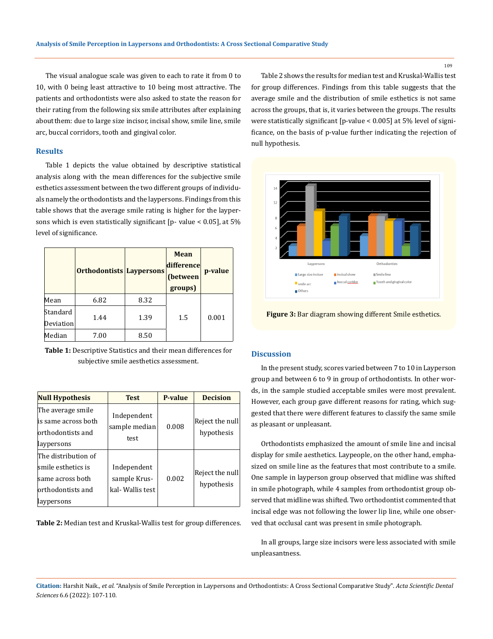The visual analogue scale was given to each to rate it from 0 to 10, with 0 being least attractive to 10 being most attractive. The patients and orthodontists were also asked to state the reason for their rating from the following six smile attributes after explaining about them: due to large size incisor, incisal show, smile line, smile arc, buccal corridors, tooth and gingival color.

# **Results**

Table 1 depicts the value obtained by descriptive statistical analysis along with the mean differences for the subjective smile esthetics assessment between the two different groups of individuals namely the orthodontists and the laypersons. Findings from this table shows that the average smile rating is higher for the laypersons which is even statistically significant [p- value < 0.05], at 5% level of significance.

|                       | Orthodontists Laypersons |      | <b>Mean</b><br>difference<br>(between<br>groups) | p-value |
|-----------------------|--------------------------|------|--------------------------------------------------|---------|
| Mean                  | 6.82                     | 8.32 |                                                  |         |
| Standard<br>Deviation | 1.44                     | 1.39 | 1.5                                              | 0.001   |
| Median                | 7.00                     | 8.50 |                                                  |         |

**Table 1:** Descriptive Statistics and their mean differences for subjective smile aesthetics assessment.

| <b>Null Hypothesis</b>                                                                             | <b>Test</b>                                     | <b>P-value</b> | <b>Decision</b>               |
|----------------------------------------------------------------------------------------------------|-------------------------------------------------|----------------|-------------------------------|
| The average smile<br>lis same across both.<br>lorthodontists and<br>laypersons                     | Independent<br>sample median<br>test            | 0.008          | Reject the null<br>hypothesis |
| The distribution of<br>lsmile esthetics is<br>same across both<br>lorthodontists and<br>laypersons | Independent<br>sample Krus-<br>kal- Wallis test | 0.002          | Reject the null<br>hypothesis |

**Table 2:** Median test and Kruskal-Wallis test for group differences.

Table 2 shows the results for median test and Kruskal-Wallis test for group differences. Findings from this table suggests that the average smile and the distribution of smile esthetics is not same across the groups, that is, it varies between the groups. The results were statistically significant [p-value < 0.005] at 5% level of significance, on the basis of p-value further indicating the rejection of null hypothesis.



**Figure 3:** Bar diagram showing different Smile esthetics.

# **Discussion**

In the present study, scores varied between 7 to 10 in Layperson group and between 6 to 9 in group of orthodontists. In other words, in the sample studied acceptable smiles were most prevalent. However, each group gave different reasons for rating, which suggested that there were different features to classify the same smile as pleasant or unpleasant.

Orthodontists emphasized the amount of smile line and incisal display for smile aesthetics. Laypeople, on the other hand, emphasized on smile line as the features that most contribute to a smile. One sample in layperson group observed that midline was shifted in smile photograph, while 4 samples from orthodontist group observed that midline was shifted. Two orthodontist commented that incisal edge was not following the lower lip line, while one observed that occlusal cant was present in smile photograph.

In all groups, large size incisors were less associated with smile unpleasantness.

**Citation:** Harshit Naik.*, et al.* "Analysis of Smile Perception in Laypersons and Orthodontists: A Cross Sectional Comparative Study". *Acta Scientific Dental Sciences* 6.6 (2022): 107-110.

109